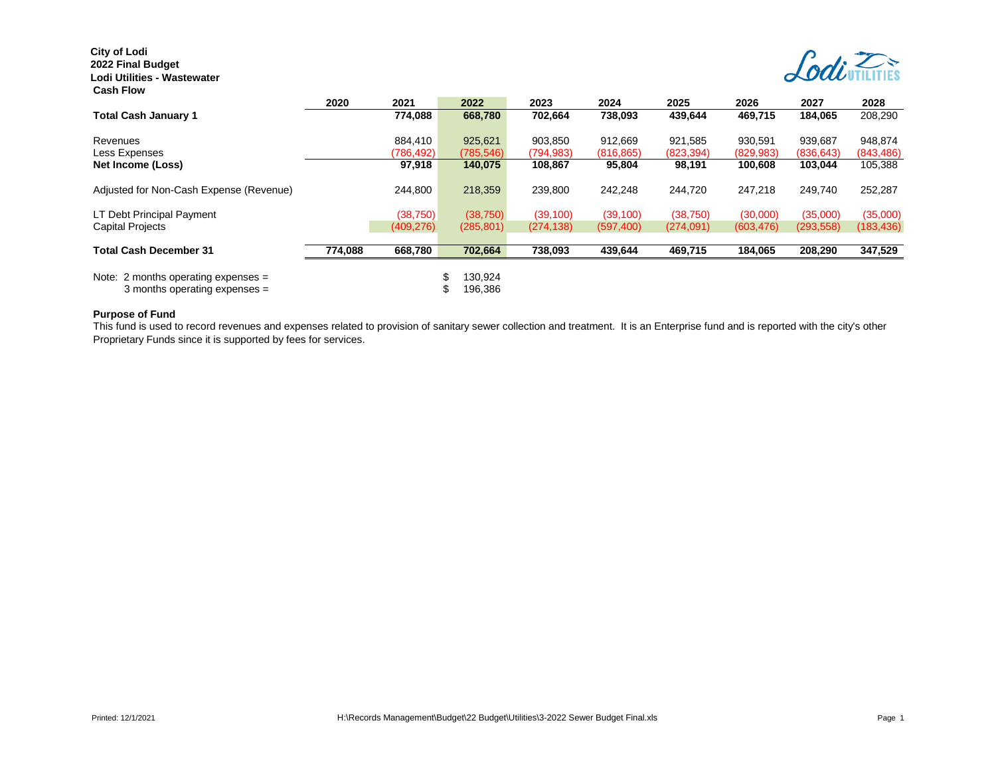# **City of Lodi 2022 Final Budget**

### **Lodi Utilities - Wastewater Cash Flow**



| .                                       |         |            |               |            |            |            |            |            |            |
|-----------------------------------------|---------|------------|---------------|------------|------------|------------|------------|------------|------------|
|                                         | 2020    | 2021       | 2022          | 2023       | 2024       | 2025       | 2026       | 2027       | 2028       |
| <b>Total Cash January 1</b>             |         | 774.088    | 668.780       | 702.664    | 738.093    | 439,644    | 469,715    | 184,065    | 208.290    |
| Revenues                                |         | 884,410    | 925,621       | 903,850    | 912.669    | 921,585    | 930,591    | 939,687    | 948,874    |
| Less Expenses                           |         | (786,492)  | (785, 546)    | (794, 983) | (816, 865) | (823, 394) | (829, 983) | (836, 643) | (843, 486) |
| Net Income (Loss)                       |         | 97,918     | 140,075       | 108,867    | 95,804     | 98,191     | 100,608    | 103,044    | 105,388    |
| Adjusted for Non-Cash Expense (Revenue) |         | 244,800    | 218,359       | 239,800    | 242,248    | 244.720    | 247,218    | 249.740    | 252,287    |
| LT Debt Principal Payment               |         | (38, 750)  | (38, 750)     | (39, 100)  | (39, 100)  | (38, 750)  | (30,000)   | (35,000)   | (35,000)   |
| <b>Capital Projects</b>                 |         | (409, 276) | (285, 801)    | (274, 138) | (597, 400) | (274,091)  | (603, 476) | (293, 558) | (183, 436) |
| <b>Total Cash December 31</b>           | 774,088 | 668,780    | 702,664       | 738,093    | 439,644    | 469,715    | 184,065    | 208,290    | 347,529    |
| Note: 2 months operating expenses $=$   |         |            | \$<br>130.924 |            |            |            |            |            |            |
| 3 months operating expenses $=$         |         |            | 196,386       |            |            |            |            |            |            |

#### **Purpose of Fund**

This fund is used to record revenues and expenses related to provision of sanitary sewer collection and treatment. It is an Enterprise fund and is reported with the city's other Proprietary Funds since it is supported by fees for services.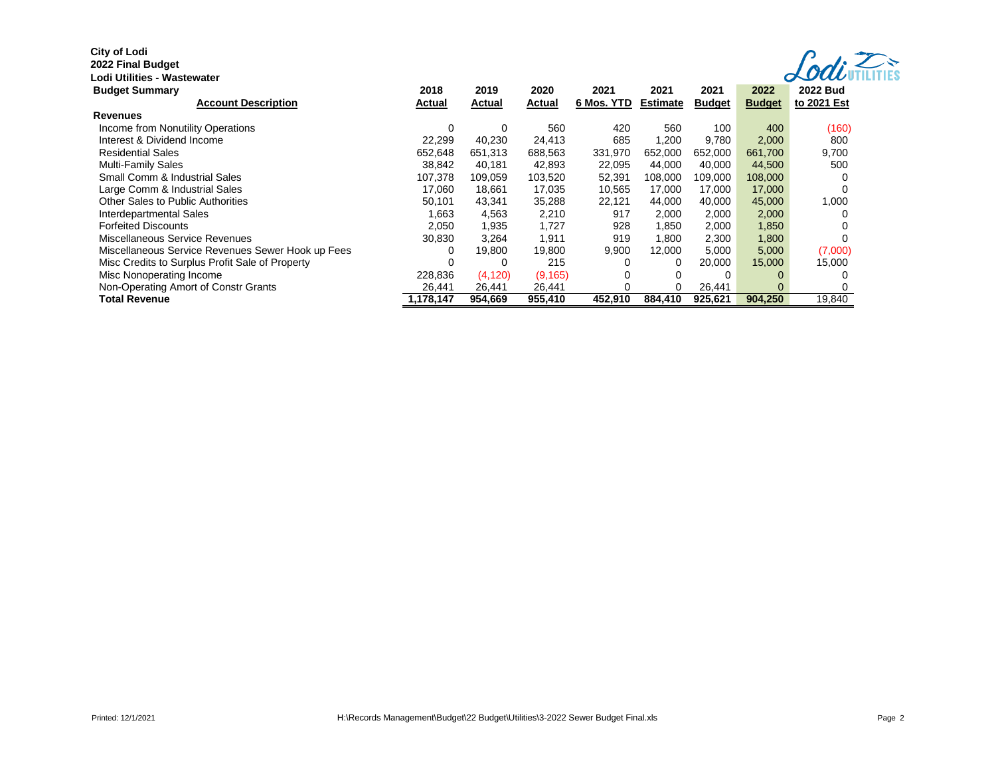## **City of Lodi**

#### **2022 Final Budget**

| - 1       |  |  |
|-----------|--|--|
| actowator |  |  |

| Codivillities |
|---------------|
|               |

| Lodi Utilities - Wastewater                       |           |          |          |            |                 |               |               | $\alpha$ UUU    |
|---------------------------------------------------|-----------|----------|----------|------------|-----------------|---------------|---------------|-----------------|
| <b>Budget Summary</b>                             | 2018      | 2019     | 2020     | 2021       | 2021            | 2021          | 2022          | <b>2022 Bud</b> |
| <b>Account Description</b>                        | Actual    | Actual   | Actual   | 6 Mos. YTD | <b>Estimate</b> | <b>Budget</b> | <b>Budget</b> | to 2021 Est     |
| <b>Revenues</b>                                   |           |          |          |            |                 |               |               |                 |
| Income from Nonutility Operations                 | $\Omega$  | 0        | 560      | 420        | 560             | 100           | 400           | (160)           |
| Interest & Dividend Income                        | 22,299    | 40,230   | 24,413   | 685        | 1,200           | 9,780         | 2,000         | 800             |
| <b>Residential Sales</b>                          | 652,648   | 651,313  | 688,563  | 331,970    | 652,000         | 652,000       | 661,700       | 9,700           |
| Multi-Family Sales                                | 38.842    | 40,181   | 42,893   | 22,095     | 44,000          | 40,000        | 44,500        | 500             |
| Small Comm & Industrial Sales                     | 107,378   | 109,059  | 103,520  | 52,391     | 108,000         | 109,000       | 108,000       |                 |
| Large Comm & Industrial Sales                     | 17.060    | 18,661   | 17,035   | 10,565     | 17,000          | 17,000        | 17,000        |                 |
| Other Sales to Public Authorities                 | 50,101    | 43,341   | 35,288   | 22,121     | 44,000          | 40,000        | 45,000        | 1,000           |
| Interdepartmental Sales                           | 1,663     | 4,563    | 2,210    | 917        | 2,000           | 2,000         | 2,000         |                 |
| <b>Forfeited Discounts</b>                        | 2.050     | 1,935    | 1,727    | 928        | 1,850           | 2,000         | 1,850         |                 |
| Miscellaneous Service Revenues                    | 30,830    | 3.264    | 1,911    | 919        | 1.800           | 2,300         | 1,800         |                 |
| Miscellaneous Service Revenues Sewer Hook up Fees | 0         | 19,800   | 19,800   | 9,900      | 12,000          | 5,000         | 5,000         | (7,000)         |
| Misc Credits to Surplus Profit Sale of Property   |           |          | 215      | ſ          | 0               | 20,000        | 15,000        | 15,000          |
| Misc Nonoperating Income                          | 228,836   | (4, 120) | (9, 165) |            | $\Omega$        |               |               |                 |
| Non-Operating Amort of Constr Grants              | 26,441    | 26,441   | 26,441   |            | 0               | 26,441        | $\Omega$      |                 |
| <b>Total Revenue</b>                              | 1,178,147 | 954,669  | 955,410  | 452,910    | 884,410         | 925,621       | 904,250       | 19,840          |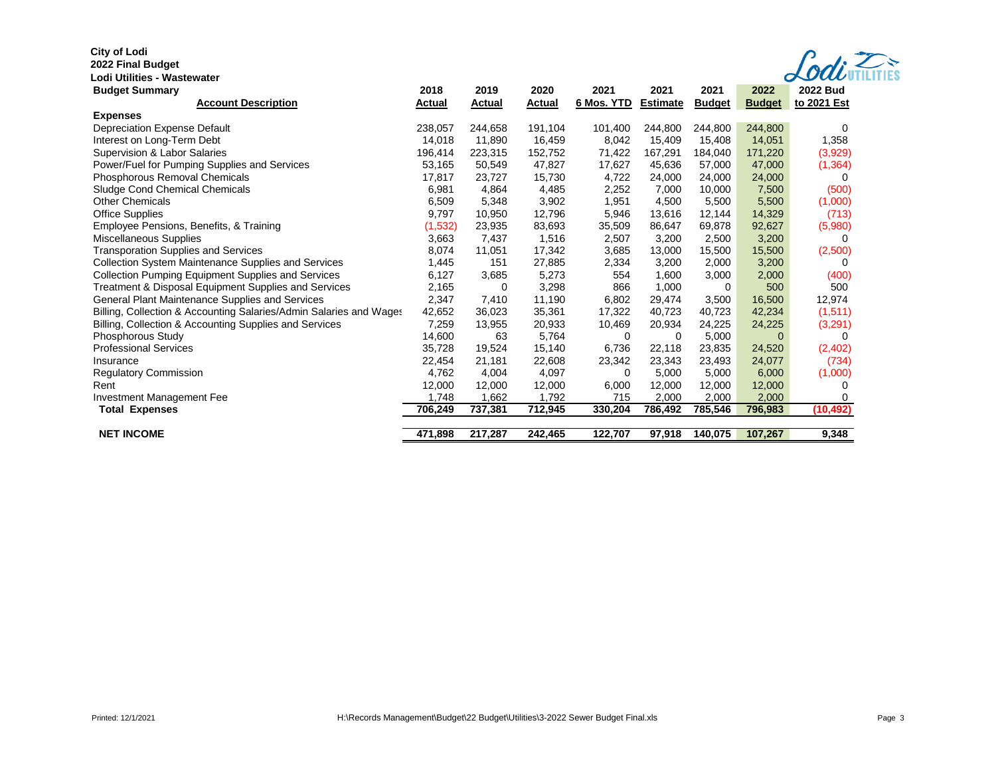# **City of Lodi**

**2022 Final Budget** 

|  | $\sqrt{odd}$ UTILITIES |
|--|------------------------|
|  |                        |

| Lodi Utilities - Wastewater                                        |               |         |               |            |                 |               |               | $\boldsymbol{\sigma}$ vavi |
|--------------------------------------------------------------------|---------------|---------|---------------|------------|-----------------|---------------|---------------|----------------------------|
| <b>Budget Summary</b>                                              | 2018          | 2019    | 2020          | 2021       | 2021            | 2021          | 2022          | <b>2022 Bud</b>            |
| <b>Account Description</b>                                         | <b>Actual</b> | Actual  | <b>Actual</b> | 6 Mos. YTD | <b>Estimate</b> | <b>Budget</b> | <b>Budget</b> | to 2021 Est                |
| <b>Expenses</b>                                                    |               |         |               |            |                 |               |               |                            |
| Depreciation Expense Default                                       | 238.057       | 244,658 | 191.104       | 101,400    | 244.800         | 244,800       | 244,800       | 0                          |
| Interest on Long-Term Debt                                         | 14.018        | 11.890  | 16,459        | 8,042      | 15,409          | 15.408        | 14,051        | 1,358                      |
| Supervision & Labor Salaries                                       | 196,414       | 223,315 | 152,752       | 71,422     | 167,291         | 184,040       | 171,220       | (3,929)                    |
| Power/Fuel for Pumping Supplies and Services                       | 53,165        | 50,549  | 47,827        | 17,627     | 45,636          | 57,000        | 47,000        | (1, 364)                   |
| Phosphorous Removal Chemicals                                      | 17,817        | 23,727  | 15,730        | 4,722      | 24,000          | 24,000        | 24,000        | 0                          |
| Sludge Cond Chemical Chemicals                                     | 6,981         | 4,864   | 4,485         | 2,252      | 7,000           | 10,000        | 7,500         | (500)                      |
| <b>Other Chemicals</b>                                             | 6,509         | 5,348   | 3,902         | 1,951      | 4,500           | 5,500         | 5,500         | (1,000)                    |
| <b>Office Supplies</b>                                             | 9,797         | 10,950  | 12,796        | 5,946      | 13,616          | 12,144        | 14,329        | (713)                      |
| Employee Pensions, Benefits, & Training                            | (1,532)       | 23,935  | 83,693        | 35,509     | 86,647          | 69,878        | 92,627        | (5,980)                    |
| Miscellaneous Supplies                                             | 3,663         | 7,437   | 1,516         | 2,507      | 3,200           | 2,500         | 3,200         | 0                          |
| <b>Transporation Supplies and Services</b>                         | 8,074         | 11,051  | 17,342        | 3,685      | 13,000          | 15,500        | 15,500        | (2,500)                    |
| <b>Collection System Maintenance Supplies and Services</b>         | 1,445         | 151     | 27,885        | 2,334      | 3,200           | 2,000         | 3,200         | 0                          |
| <b>Collection Pumping Equipment Supplies and Services</b>          | 6,127         | 3,685   | 5,273         | 554        | 1,600           | 3,000         | 2,000         | (400)                      |
| Treatment & Disposal Equipment Supplies and Services               | 2,165         | 0       | 3,298         | 866        | 1,000           | 0             | 500           | 500                        |
| General Plant Maintenance Supplies and Services                    | 2,347         | 7,410   | 11,190        | 6,802      | 29,474          | 3,500         | 16,500        | 12,974                     |
| Billing, Collection & Accounting Salaries/Admin Salaries and Wages | 42,652        | 36,023  | 35,361        | 17,322     | 40,723          | 40,723        | 42,234        | (1, 511)                   |
| Billing, Collection & Accounting Supplies and Services             | 7,259         | 13,955  | 20,933        | 10,469     | 20,934          | 24,225        | 24,225        | (3,291)                    |
| Phosphorous Study                                                  | 14,600        | 63      | 5,764         | 0          | 0               | 5,000         | $\Omega$      | 0                          |
| <b>Professional Services</b>                                       | 35.728        | 19,524  | 15,140        | 6,736      | 22,118          | 23,835        | 24,520        | (2,402)                    |
| Insurance                                                          | 22,454        | 21,181  | 22,608        | 23,342     | 23,343          | 23,493        | 24,077        | (734)                      |
| <b>Regulatory Commission</b>                                       | 4,762         | 4,004   | 4,097         | 0          | 5,000           | 5,000         | 6,000         | (1,000)                    |
| Rent                                                               | 12,000        | 12,000  | 12,000        | 6,000      | 12,000          | 12,000        | 12,000        | 0                          |
| Investment Management Fee                                          | 1.748         | 1,662   | 1,792         | 715        | 2,000           | 2,000         | 2,000         | 0                          |
| <b>Total Expenses</b>                                              | 706,249       | 737,381 | 712,945       | 330,204    | 786,492         | 785,546       | 796,983       | (10, 492)                  |
|                                                                    |               |         |               |            |                 |               |               |                            |
| <b>NET INCOME</b>                                                  | 471,898       | 217,287 | 242,465       | 122,707    | 97,918          | 140,075       | 107,267       | 9,348                      |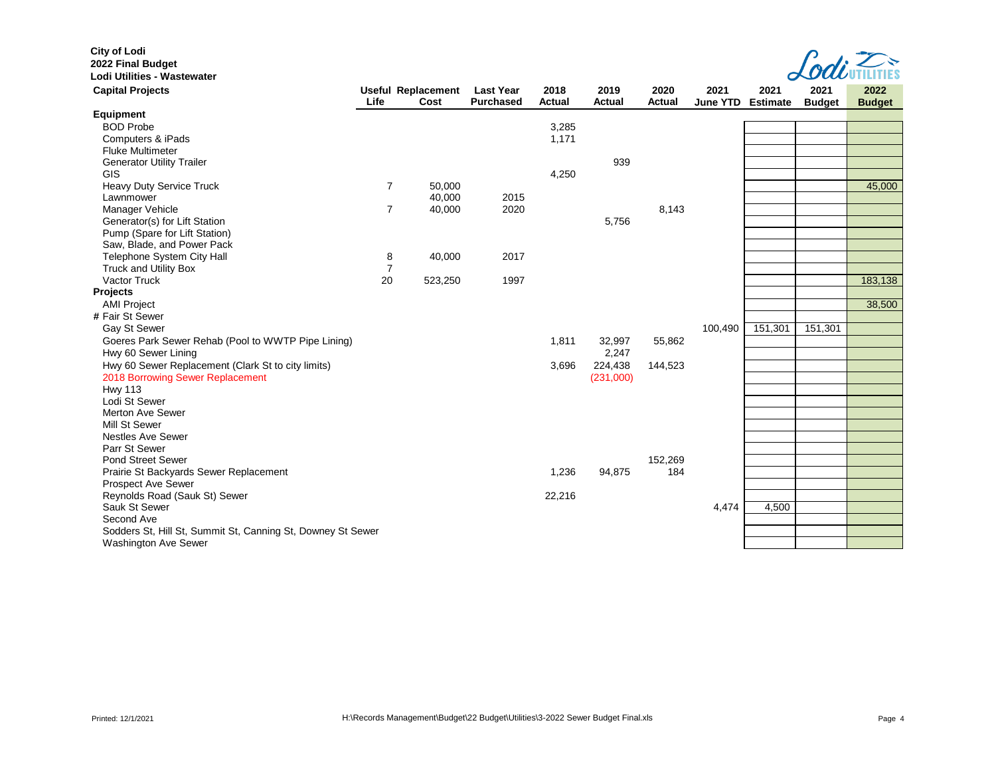| <b>City of Lodi</b>                                         |                |                                   |                                      |                       |                       |                       |                         |                         |                       |                       |
|-------------------------------------------------------------|----------------|-----------------------------------|--------------------------------------|-----------------------|-----------------------|-----------------------|-------------------------|-------------------------|-----------------------|-----------------------|
| 2022 Final Budget<br>Lodi Utilities - Wastewater            |                |                                   |                                      |                       |                       |                       |                         |                         |                       |                       |
|                                                             |                |                                   |                                      |                       |                       |                       |                         |                         |                       |                       |
| <b>Capital Projects</b>                                     | Life           | <b>Useful Replacement</b><br>Cost | <b>Last Year</b><br><b>Purchased</b> | 2018<br><b>Actual</b> | 2019<br><b>Actual</b> | 2020<br><b>Actual</b> | 2021<br><b>June YTD</b> | 2021<br><b>Estimate</b> | 2021<br><b>Budget</b> | 2022<br><b>Budget</b> |
| Equipment                                                   |                |                                   |                                      |                       |                       |                       |                         |                         |                       |                       |
| <b>BOD Probe</b>                                            |                |                                   |                                      | 3,285                 |                       |                       |                         |                         |                       |                       |
| Computers & iPads                                           |                |                                   |                                      | 1,171                 |                       |                       |                         |                         |                       |                       |
| <b>Fluke Multimeter</b>                                     |                |                                   |                                      |                       |                       |                       |                         |                         |                       |                       |
| <b>Generator Utility Trailer</b>                            |                |                                   |                                      |                       | 939                   |                       |                         |                         |                       |                       |
| <b>GIS</b>                                                  |                |                                   |                                      | 4,250                 |                       |                       |                         |                         |                       |                       |
| Heavy Duty Service Truck                                    | $\overline{7}$ | 50,000                            |                                      |                       |                       |                       |                         |                         |                       | 45,000                |
| Lawnmower                                                   |                | 40,000                            | 2015                                 |                       |                       |                       |                         |                         |                       |                       |
| Manager Vehicle                                             | $\overline{7}$ | 40,000                            | 2020                                 |                       |                       | 8,143                 |                         |                         |                       |                       |
| Generator(s) for Lift Station                               |                |                                   |                                      |                       | 5,756                 |                       |                         |                         |                       |                       |
| Pump (Spare for Lift Station)                               |                |                                   |                                      |                       |                       |                       |                         |                         |                       |                       |
| Saw, Blade, and Power Pack                                  |                |                                   |                                      |                       |                       |                       |                         |                         |                       |                       |
| Telephone System City Hall                                  | 8              | 40,000                            | 2017                                 |                       |                       |                       |                         |                         |                       |                       |
| <b>Truck and Utility Box</b>                                | $\overline{7}$ |                                   |                                      |                       |                       |                       |                         |                         |                       |                       |
| <b>Vactor Truck</b>                                         | 20             | 523,250                           | 1997                                 |                       |                       |                       |                         |                         |                       | 183,138               |
| <b>Projects</b>                                             |                |                                   |                                      |                       |                       |                       |                         |                         |                       |                       |
| <b>AMI Project</b>                                          |                |                                   |                                      |                       |                       |                       |                         |                         |                       | 38,500                |
| # Fair St Sewer                                             |                |                                   |                                      |                       |                       |                       |                         |                         |                       |                       |
| Gay St Sewer                                                |                |                                   |                                      |                       |                       |                       | 100,490                 | 151,301                 | 151,301               |                       |
| Goeres Park Sewer Rehab (Pool to WWTP Pipe Lining)          |                |                                   |                                      | 1,811                 | 32,997                | 55,862                |                         |                         |                       |                       |
| Hwy 60 Sewer Lining                                         |                |                                   |                                      |                       | 2,247                 |                       |                         |                         |                       |                       |
| Hwy 60 Sewer Replacement (Clark St to city limits)          |                |                                   |                                      | 3,696                 | 224,438               | 144,523               |                         |                         |                       |                       |
| 2018 Borrowing Sewer Replacement                            |                |                                   |                                      |                       | (231,000)             |                       |                         |                         |                       |                       |
| <b>Hwy 113</b>                                              |                |                                   |                                      |                       |                       |                       |                         |                         |                       |                       |
| Lodi St Sewer                                               |                |                                   |                                      |                       |                       |                       |                         |                         |                       |                       |
| Merton Ave Sewer                                            |                |                                   |                                      |                       |                       |                       |                         |                         |                       |                       |
| Mill St Sewer                                               |                |                                   |                                      |                       |                       |                       |                         |                         |                       |                       |
| <b>Nestles Ave Sewer</b>                                    |                |                                   |                                      |                       |                       |                       |                         |                         |                       |                       |
| Parr St Sewer                                               |                |                                   |                                      |                       |                       |                       |                         |                         |                       |                       |
| <b>Pond Street Sewer</b>                                    |                |                                   |                                      |                       |                       | 152,269               |                         |                         |                       |                       |
| Prairie St Backyards Sewer Replacement                      |                |                                   |                                      | 1,236                 | 94,875                | 184                   |                         |                         |                       |                       |
| Prospect Ave Sewer                                          |                |                                   |                                      |                       |                       |                       |                         |                         |                       |                       |
| Reynolds Road (Sauk St) Sewer                               |                |                                   |                                      | 22,216                |                       |                       |                         |                         |                       |                       |
| Sauk St Sewer                                               |                |                                   |                                      |                       |                       |                       | 4,474                   | 4,500                   |                       |                       |
| Second Ave                                                  |                |                                   |                                      |                       |                       |                       |                         |                         |                       |                       |
| Sodders St, Hill St, Summit St, Canning St, Downey St Sewer |                |                                   |                                      |                       |                       |                       |                         |                         |                       |                       |
| <b>Washington Ave Sewer</b>                                 |                |                                   |                                      |                       |                       |                       |                         |                         |                       |                       |